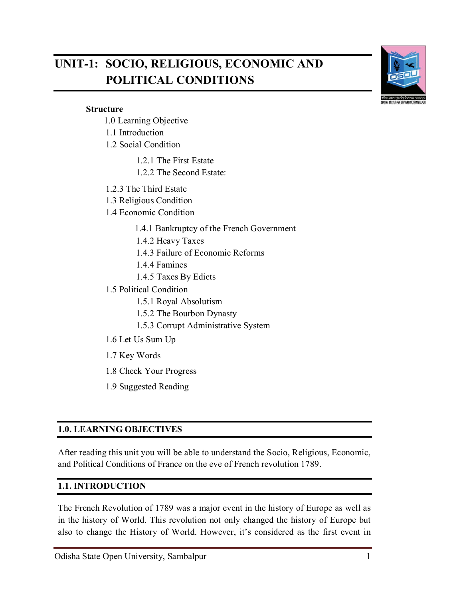# **UNIT***-***1: SOCIO, RELIGIOUS, ECONOMIC AND POLITICAL CONDITIONS**



#### **Structure**

- 1.0 Learning Objective
- 1.1 Introduction
- 1.2 Social Condition
	- 1.2.1 The First Estate
	- 1.2.2 The Second Estate:
- 1.2.3 The Third Estate
- 1.3 Religious Condition
- 1.4 Economic Condition
	- 1.4.1 Bankruptcy of the French Government
	- 1.4.2 Heavy Taxes
	- 1.4.3 Failure of Economic Reforms
	- 1.4.4 Famines
	- 1.4.5 Taxes By Edicts
- 1.5 Political Condition
	- 1.5.1 Royal Absolutism
	- 1.5.2 The Bourbon Dynasty
	- 1.5.3 Corrupt Administrative System
- 1.6 Let Us Sum Up
- 1.7 Key Words
- 1.8 Check Your Progress
- 1.9 Suggested Reading

#### **1.0. LEARNING OBJECTIVES**

After reading this unit you will be able to understand the Socio, Religious, Economic, and Political Conditions of France on the eve of French revolution 1789.

#### **1.1. INTRODUCTION**

The French Revolution of 1789 was a major event in the history of Europe as well as in the history of World. This revolution not only changed the history of Europe but also to change the History of World. However, it's considered as the first event in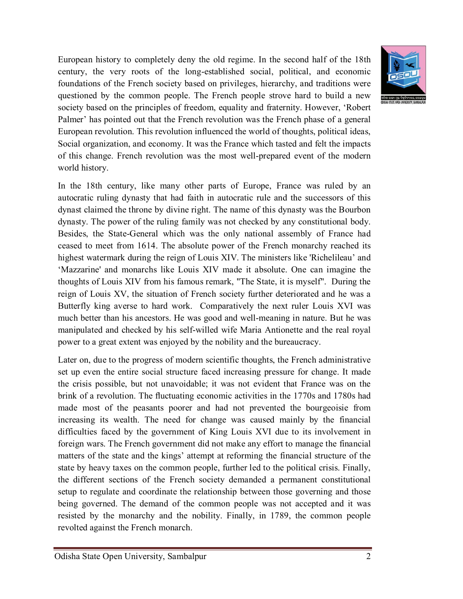

European history to completely deny the old regime. In the second half of the 18th century, the very roots of the long-established social, political, and economic foundations of the French society based on privileges, hierarchy, and traditions were questioned by the common people. The French people strove hard to build a new society based on the principles of freedom, equality and fraternity. However, 'Robert Palmer' has pointed out that the French revolution was the French phase of a general European revolution. This revolution influenced the world of thoughts, political ideas, Social organization, and economy. It was the France which tasted and felt the impacts of this change. French revolution was the most well-prepared event of the modern world history.

In the 18th century, like many other parts of Europe, France was ruled by an autocratic ruling dynasty that had faith in autocratic rule and the successors of this dynast claimed the throne by divine right. The name of this dynasty was the Bourbon dynasty. The power of the ruling family was not checked by any constitutional body. Besides, the State-General which was the only national assembly of France had ceased to meet from 1614. The absolute power of the French monarchy reached its highest watermark during the reign of Louis XIV. The ministers like 'Richelileau' and 'Mazzarine' and monarchs like Louis XIV made it absolute. One can imagine the thoughts of Louis XIV from his famous remark, "The State, it is myself". During the reign of Louis XV, the situation of French society further deteriorated and he was a Butterfly king averse to hard work. Comparatively the next ruler Louis XVI was much better than his ancestors. He was good and well-meaning in nature. But he was manipulated and checked by his self-willed wife Maria Antionette and the real royal power to a great extent was enjoyed by the nobility and the bureaucracy.

Later on, due to the progress of modern scientific thoughts, the French administrative set up even the entire social structure faced increasing pressure for change. It made the crisis possible, but not unavoidable; it was not evident that France was on the brink of a revolution. The fluctuating economic activities in the 1770s and 1780s had made most of the peasants poorer and had not prevented the bourgeoisie from increasing its wealth. The need for change was caused mainly by the financial difficulties faced by the government of King Louis XVI due to its involvement in foreign wars. The French government did not make any effort to manage the financial matters of the state and the kings' attempt at reforming the financial structure of the state by heavy taxes on the common people, further led to the political crisis. Finally, the different sections of the French society demanded a permanent constitutional setup to regulate and coordinate the relationship between those governing and those being governed. The demand of the common people was not accepted and it was resisted by the monarchy and the nobility. Finally, in 1789, the common people revolted against the French monarch.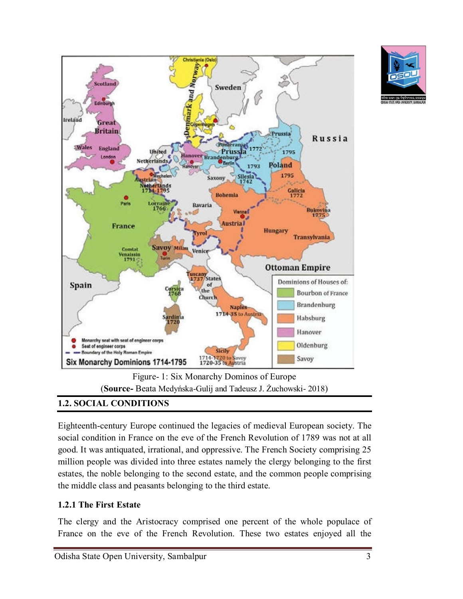

# **1.2. SOCIAL CONDITIONS**

Eighteenth-century Europe continued the legacies of medieval European society. The social condition in France on the eve of the French Revolution of 1789 was not at all good. It was antiquated, irrational, and oppressive. The French Society comprising 25 million people was divided into three estates namely the clergy belonging to the first estates, the noble belonging to the second estate, and the common people comprising the middle class and peasants belonging to the third estate.

### **1.2.1 The First Estate**

The clergy and the Aristocracy comprised one percent of the whole populace of France on the eve of the French Revolution. These two estates enjoyed all the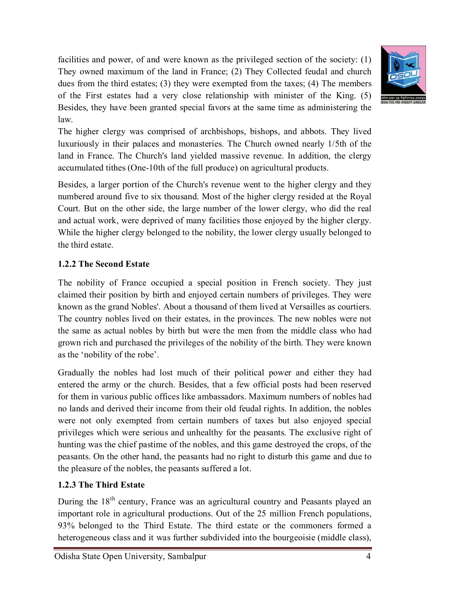facilities and power, of and were known as the privileged section of the society: (1) They owned maximum of the land in France; (2) They Collected feudal and church dues from the third estates; (3) they were exempted from the taxes; (4) The members of the First estates had a very close relationship with minister of the King. (5) Besides, they have been granted special favors at the same time as administering the law.



The higher clergy was comprised of archbishops, bishops, and abbots. They lived luxuriously in their palaces and monasteries. The Church owned nearly 1/5th of the land in France. The Church's land yielded massive revenue. In addition, the clergy accumulated tithes (One-10th of the full produce) on agricultural products.

Besides, a larger portion of the Church's revenue went to the higher clergy and they numbered around five to six thousand. Most of the higher clergy resided at the Royal Court. But on the other side, the large number of the lower clergy, who did the real and actual work, were deprived of many facilities those enjoyed by the higher clergy. While the higher clergy belonged to the nobility, the lower clergy usually belonged to the third estate.

## **1.2.2 The Second Estate**

The nobility of France occupied a special position in French society. They just claimed their position by birth and enjoyed certain numbers of privileges. They were known as the grand Nobles'. About a thousand of them lived at Versailles as courtiers. The country nobles lived on their estates, in the provinces. The new nobles were not the same as actual nobles by birth but were the men from the middle class who had grown rich and purchased the privileges of the nobility of the birth. They were known as the 'nobility of the robe'.

Gradually the nobles had lost much of their political power and either they had entered the army or the church. Besides, that a few official posts had been reserved for them in various public offices like ambassadors. Maximum numbers of nobles had no lands and derived their income from their old feudal rights. In addition, the nobles were not only exempted from certain numbers of taxes but also enjoyed special privileges which were serious and unhealthy for the peasants. The exclusive right of hunting was the chief pastime of the nobles, and this game destroyed the crops, of the peasants. On the other hand, the peasants had no right to disturb this game and due to the pleasure of the nobles, the peasants suffered a lot.

### **1.2.3 The Third Estate**

During the 18<sup>th</sup> century, France was an agricultural country and Peasants played an important role in agricultural productions. Out of the 25 million French populations, 93% belonged to the Third Estate. The third estate or the commoners formed a heterogeneous class and it was further subdivided into the bourgeoisie (middle class),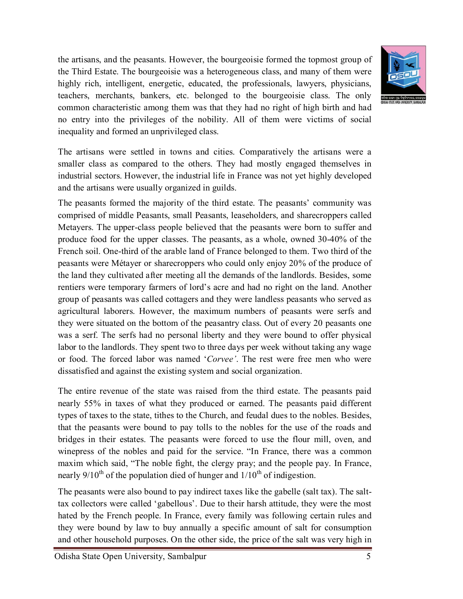the artisans, and the peasants. However, the bourgeoisie formed the topmost group of the Third Estate. The bourgeoisie was a heterogeneous class, and many of them were highly rich, intelligent, energetic, educated, the professionals, lawyers, physicians, teachers, merchants, bankers, etc. belonged to the bourgeoisie class. The only common characteristic among them was that they had no right of high birth and had no entry into the privileges of the nobility. All of them were victims of social inequality and formed an unprivileged class.



The artisans were settled in towns and cities. Comparatively the artisans were a smaller class as compared to the others. They had mostly engaged themselves in industrial sectors. However, the industrial life in France was not yet highly developed and the artisans were usually organized in guilds.

The peasants formed the majority of the third estate. The peasants' community was comprised of middle Peasants, small Peasants, leaseholders, and sharecroppers called Metayers. The upper-class people believed that the peasants were born to suffer and produce food for the upper classes. The peasants, as a whole, owned 30-40% of the French soil. One-third of the arable land of France belonged to them. Two third of the peasants were Métayer or sharecroppers who could only enjoy 20% of the produce of the land they cultivated after meeting all the demands of the landlords. Besides, some rentiers were temporary farmers of lord's acre and had no right on the land. Another group of peasants was called cottagers and they were landless peasants who served as agricultural laborers. However, the maximum numbers of peasants were serfs and they were situated on the bottom of the peasantry class. Out of every 20 peasants one was a serf. The serfs had no personal liberty and they were bound to offer physical labor to the landlords. They spent two to three days per week without taking any wage or food. The forced labor was named '*Corvee'*. The rest were free men who were dissatisfied and against the existing system and social organization.

The entire revenue of the state was raised from the third estate. The peasants paid nearly 55% in taxes of what they produced or earned. The peasants paid different types of taxes to the state, tithes to the Church, and feudal dues to the nobles. Besides, that the peasants were bound to pay tolls to the nobles for the use of the roads and bridges in their estates. The peasants were forced to use the flour mill, oven, and winepress of the nobles and paid for the service. "In France, there was a common maxim which said, "The noble fight, the clergy pray; and the people pay. In France, nearly  $9/10^{th}$  of the population died of hunger and  $1/10^{th}$  of indigestion.

The peasants were also bound to pay indirect taxes like the gabelle (salt tax). The salttax collectors were called 'gabellous'. Due to their harsh attitude, they were the most hated by the French people. In France, every family was following certain rules and they were bound by law to buy annually a specific amount of salt for consumption and other household purposes. On the other side, the price of the salt was very high in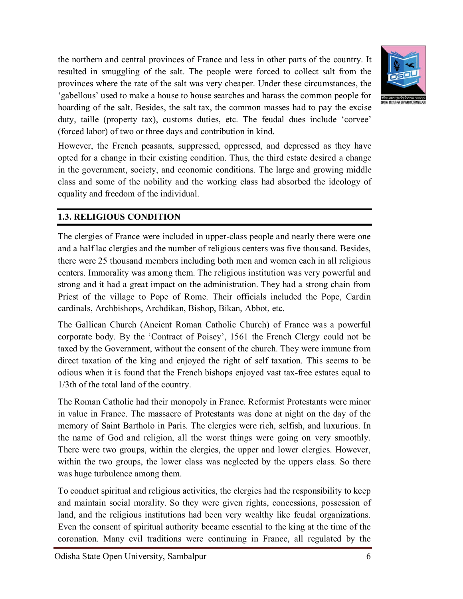the northern and central provinces of France and less in other parts of the country. It resulted in smuggling of the salt. The people were forced to collect salt from the provinces where the rate of the salt was very cheaper. Under these circumstances, the 'gabellous' used to make a house to house searches and harass the common people for hoarding of the salt. Besides, the salt tax, the common masses had to pay the excise duty, taille (property tax), customs duties, etc. The feudal dues include 'corvee' (forced labor) of two or three days and contribution in kind.



However, the French peasants, suppressed, oppressed, and depressed as they have opted for a change in their existing condition. Thus, the third estate desired a change in the government, society, and economic conditions. The large and growing middle class and some of the nobility and the working class had absorbed the ideology of equality and freedom of the individual.

## **1.3. RELIGIOUS CONDITION**

The clergies of France were included in upper-class people and nearly there were one and a half lac clergies and the number of religious centers was five thousand. Besides, there were 25 thousand members including both men and women each in all religious centers. Immorality was among them. The religious institution was very powerful and strong and it had a great impact on the administration. They had a strong chain from Priest of the village to Pope of Rome. Their officials included the Pope, Cardin cardinals, Archbishops, Archdikan, Bishop, Bikan, Abbot, etc.

The Gallican Church (Ancient Roman Catholic Church) of France was a powerful corporate body. By the 'Contract of Poisey', 1561 the French Clergy could not be taxed by the Government, without the consent of the church. They were immune from direct taxation of the king and enjoyed the right of self taxation. This seems to be odious when it is found that the French bishops enjoyed vast tax-free estates equal to 1/3th of the total land of the country.

The Roman Catholic had their monopoly in France. Reformist Protestants were minor in value in France. The massacre of Protestants was done at night on the day of the memory of Saint Bartholo in Paris. The clergies were rich, selfish, and luxurious. In the name of God and religion, all the worst things were going on very smoothly. There were two groups, within the clergies, the upper and lower clergies. However, within the two groups, the lower class was neglected by the uppers class. So there was huge turbulence among them.

To conduct spiritual and religious activities, the clergies had the responsibility to keep and maintain social morality. So they were given rights, concessions, possession of land, and the religious institutions had been very wealthy like feudal organizations. Even the consent of spiritual authority became essential to the king at the time of the coronation. Many evil traditions were continuing in France, all regulated by the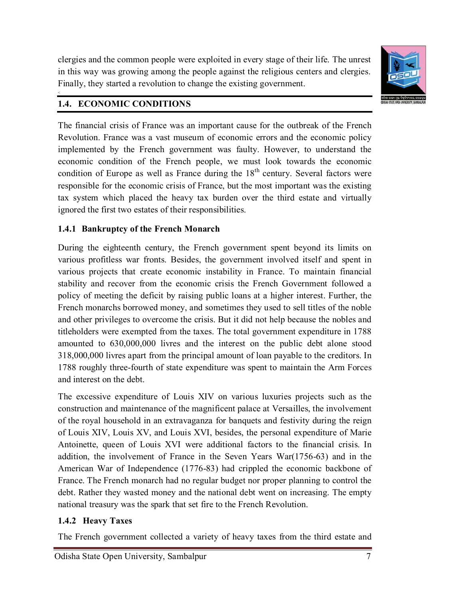clergies and the common people were exploited in every stage of their life. The unrest in this way was growing among the people against the religious centers and clergies. Finally, they started a revolution to change the existing government.



### **1.4. ECONOMIC CONDITIONS**

 $\leq$ 

The financial crisis of France was an important cause for the outbreak of the French Revolution. France was a vast museum of economic errors and the economic policy implemented by the French government was faulty. However, to understand the economic condition of the French people, we must look towards the economic condition of Europe as well as France during the  $18<sup>th</sup>$  century. Several factors were responsible for the economic crisis of France, but the most important was the existing tax system which placed the heavy tax burden over the third estate and virtually ignored the first two estates of their responsibilities.

## **1.4.1 Bankruptcy of the French Monarch**

During the eighteenth century, the French government spent beyond its limits on various profitless war fronts. Besides, the government involved itself and spent in various projects that create economic instability in France. To maintain financial stability and recover from the economic crisis the French Government followed a policy of meeting the deficit by raising public loans at a higher interest. Further, the French monarchs borrowed money, and sometimes they used to sell titles of the noble and other privileges to overcome the crisis. But it did not help because the nobles and titleholders were exempted from the taxes. The total government expenditure in 1788 amounted to 630,000,000 livres and the interest on the public debt alone stood 318,000,000 livres apart from the principal amount of loan payable to the creditors. In 1788 roughly three-fourth of state expenditure was spent to maintain the Arm Forces and interest on the debt.

The excessive expenditure of Louis XIV on various luxuries projects such as the construction and maintenance of the magnificent palace at Versailles, the involvement of the royal household in an extravaganza for banquets and festivity during the reign of Louis XIV, Louis XV, and Louis XVI, besides, the personal expenditure of Marie Antoinette, queen of Louis XVI were additional factors to the financial crisis. In addition, the involvement of France in the Seven Years War(1756-63) and in the American War of Independence (1776-83) had crippled the economic backbone of France. The French monarch had no regular budget nor proper planning to control the debt. Rather they wasted money and the national debt went on increasing. The empty national treasury was the spark that set fire to the French Revolution.

# **1.4.2 Heavy Taxes**

The French government collected a variety of heavy taxes from the third estate and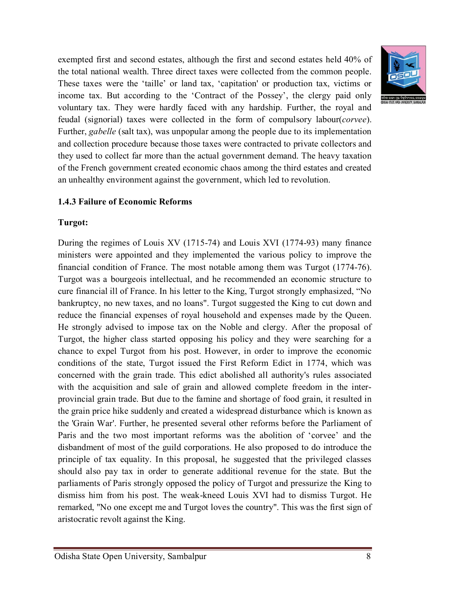exempted first and second estates, although the first and second estates held 40% of the total national wealth. Three direct taxes were collected from the common people. These taxes were the 'taille' or land tax, 'capitation' or production tax, victims or income tax. But according to the 'Contract of the Possey', the clergy paid only voluntary tax. They were hardly faced with any hardship. Further, the royal and feudal (signorial) taxes were collected in the form of compulsory labour(*corvee*). Further, *gabelle* (salt tax), was unpopular among the people due to its implementation and collection procedure because those taxes were contracted to private collectors and they used to collect far more than the actual government demand. The heavy taxation of the French government created economic chaos among the third estates and created an unhealthy environment against the government, which led to revolution.



#### **1.4.3 Failure of Economic Reforms**

#### **Turgot:**

During the regimes of Louis XV (1715-74) and Louis XVI (1774-93) many finance ministers were appointed and they implemented the various policy to improve the financial condition of France. The most notable among them was Turgot (1774-76). Turgot was a bourgeois intellectual, and he recommended an economic structure to cure financial ill of France. In his letter to the King, Turgot strongly emphasized, "No bankruptcy, no new taxes, and no loans". Turgot suggested the King to cut down and reduce the financial expenses of royal household and expenses made by the Queen. He strongly advised to impose tax on the Noble and clergy. After the proposal of Turgot, the higher class started opposing his policy and they were searching for a chance to expel Turgot from his post. However, in order to improve the economic conditions of the state, Turgot issued the First Reform Edict in 1774, which was concerned with the grain trade. This edict abolished all authority's rules associated with the acquisition and sale of grain and allowed complete freedom in the interprovincial grain trade. But due to the famine and shortage of food grain, it resulted in the grain price hike suddenly and created a widespread disturbance which is known as the 'Grain War'. Further, he presented several other reforms before the Parliament of Paris and the two most important reforms was the abolition of 'corvee' and the disbandment of most of the guild corporations. He also proposed to do introduce the principle of tax equality. In this proposal, he suggested that the privileged classes should also pay tax in order to generate additional revenue for the state. But the parliaments of Paris strongly opposed the policy of Turgot and pressurize the King to dismiss him from his post. The weak-kneed Louis XVI had to dismiss Turgot. He remarked, "No one except me and Turgot loves the country". This was the first sign of aristocratic revolt against the King.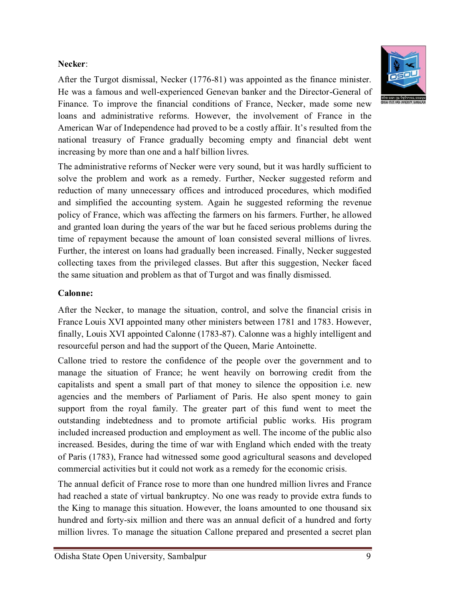### **Necker**:

After the Turgot dismissal, Necker (1776-81) was appointed as the finance minister. He was a famous and well-experienced Genevan banker and the Director-General of Finance. To improve the financial conditions of France, Necker, made some new loans and administrative reforms. However, the involvement of France in the American War of Independence had proved to be a costly affair. It's resulted from the national treasury of France gradually becoming empty and financial debt went increasing by more than one and a half billion livres.

The administrative reforms of Necker were very sound, but it was hardly sufficient to solve the problem and work as a remedy. Further, Necker suggested reform and reduction of many unnecessary offices and introduced procedures, which modified and simplified the accounting system. Again he suggested reforming the revenue policy of France, which was affecting the farmers on his farmers. Further, he allowed and granted loan during the years of the war but he faced serious problems during the time of repayment because the amount of loan consisted several millions of livres. Further, the interest on loans had gradually been increased. Finally, Necker suggested collecting taxes from the privileged classes. But after this suggestion, Necker faced the same situation and problem as that of Turgot and was finally dismissed.

### **Calonne:**

After the Necker, to manage the situation, control, and solve the financial crisis in France Louis XVI appointed many other ministers between 1781 and 1783. However, finally, Louis XVI appointed Calonne (1783-87). Calonne was a highly intelligent and resourceful person and had the support of the Queen, Marie Antoinette.

Callone tried to restore the confidence of the people over the government and to manage the situation of France; he went heavily on borrowing credit from the capitalists and spent a small part of that money to silence the opposition i.e. new agencies and the members of Parliament of Paris. He also spent money to gain support from the royal family. The greater part of this fund went to meet the outstanding indebtedness and to promote artificial public works. His program included increased production and employment as well. The income of the public also increased. Besides, during the time of war with England which ended with the treaty of Paris (1783), France had witnessed some good agricultural seasons and developed commercial activities but it could not work as a remedy for the economic crisis.

The annual deficit of France rose to more than one hundred million livres and France had reached a state of virtual bankruptcy. No one was ready to provide extra funds to the King to manage this situation. However, the loans amounted to one thousand six hundred and forty-six million and there was an annual deficit of a hundred and forty million livres. To manage the situation Callone prepared and presented a secret plan

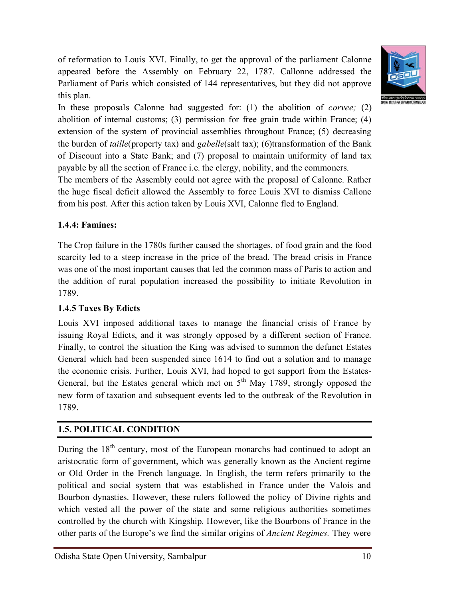of reformation to Louis XVI. Finally, to get the approval of the parliament Calonne appeared before the Assembly on February 22, 1787. Callonne addressed the Parliament of Paris which consisted of 144 representatives, but they did not approve this plan.



In these proposals Calonne had suggested for: (1) the abolition of *corvee;* (2) abolition of internal customs; (3) permission for free grain trade within France; (4) extension of the system of provincial assemblies throughout France; (5) decreasing the burden of *taille*(property tax) and *gabelle*(salt tax); (6)transformation of the Bank of Discount into a State Bank; and (7) proposal to maintain uniformity of land tax payable by all the section of France i.e. the clergy, nobility, and the commoners.

The members of the Assembly could not agree with the proposal of Calonne. Rather the huge fiscal deficit allowed the Assembly to force Louis XVI to dismiss Callone from his post. After this action taken by Louis XVI, Calonne fled to England.

## **1.4.4: Famines:**

The Crop failure in the 1780s further caused the shortages, of food grain and the food scarcity led to a steep increase in the price of the bread. The bread crisis in France was one of the most important causes that led the common mass of Paris to action and the addition of rural population increased the possibility to initiate Revolution in 1789.

# **1.4.5 Taxes By Edicts**

Louis XVI imposed additional taxes to manage the financial crisis of France by issuing Royal Edicts, and it was strongly opposed by a different section of France. Finally, to control the situation the King was advised to summon the defunct Estates General which had been suspended since 1614 to find out a solution and to manage the economic crisis. Further, Louis XVI, had hoped to get support from the Estates-General, but the Estates general which met on  $5<sup>th</sup>$  May 1789, strongly opposed the new form of taxation and subsequent events led to the outbreak of the Revolution in 1789.

# **1.5. POLITICAL CONDITION**

During the  $18<sup>th</sup>$  century, most of the European monarchs had continued to adopt an aristocratic form of government, which was generally known as the Ancient regime or Old Order in the French language. In English, the term refers primarily to the political and social system that was established in France under the Valois and Bourbon dynasties. However, these rulers followed the policy of Divine rights and which vested all the power of the state and some religious authorities sometimes controlled by the church with Kingship. However, like the Bourbons of France in the other parts of the Europe's we find the similar origins of *Ancient Regimes.* They were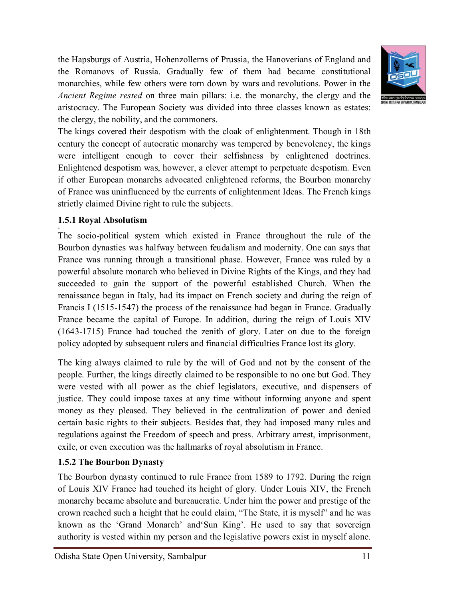the Hapsburgs of Austria, Hohenzollerns of Prussia, the Hanoverians of England and the Romanovs of Russia. Gradually few of them had became constitutional monarchies, while few others were torn down by wars and revolutions. Power in the *Ancient Regime rested* on three main pillars: i.e. the monarchy, the clergy and the aristocracy. The European Society was divided into three classes known as estates: the clergy, the nobility, and the commoners.



The kings covered their despotism with the cloak of enlightenment. Though in 18th century the concept of autocratic monarchy was tempered by benevolency, the kings were intelligent enough to cover their selfishness by enlightened doctrines. Enlightened despotism was, however, a clever attempt to perpetuate despotism. Even if other European monarchs advocated enlightened reforms, the Bourbon monarchy of France was uninfluenced by the currents of enlightenment Ideas. The French kings strictly claimed Divine right to rule the subjects.

### **1.5.1 Royal Absolutism**

**<**

The socio-political system which existed in France throughout the rule of the Bourbon dynasties was halfway between feudalism and modernity. One can says that France was running through a transitional phase. However, France was ruled by a powerful absolute monarch who believed in Divine Rights of the Kings, and they had succeeded to gain the support of the powerful established Church. When the renaissance began in Italy, had its impact on French society and during the reign of Francis I (1515-1547) the process of the renaissance had began in France. Gradually France became the capital of Europe. In addition, during the reign of Louis XIV (1643-1715) France had touched the zenith of glory. Later on due to the foreign policy adopted by subsequent rulers and financial difficulties France lost its glory.

The king always claimed to rule by the will of God and not by the consent of the people. Further, the kings directly claimed to be responsible to no one but God. They were vested with all power as the chief legislators, executive, and dispensers of justice. They could impose taxes at any time without informing anyone and spent money as they pleased. They believed in the centralization of power and denied certain basic rights to their subjects. Besides that, they had imposed many rules and regulations against the Freedom of speech and press. Arbitrary arrest, imprisonment, exile, or even execution was the hallmarks of royal absolutism in France.

#### **1.5.2 The Bourbon Dynasty**

The Bourbon dynasty continued to rule France from 1589 to 1792. During the reign of Louis XIV France had touched its height of glory. Under Louis XIV, the French monarchy became absolute and bureaucratic. Under him the power and prestige of the crown reached such a height that he could claim, "The State, it is myself" and he was known as the 'Grand Monarch' and'Sun King'. He used to say that sovereign authority is vested within my person and the legislative powers exist in myself alone.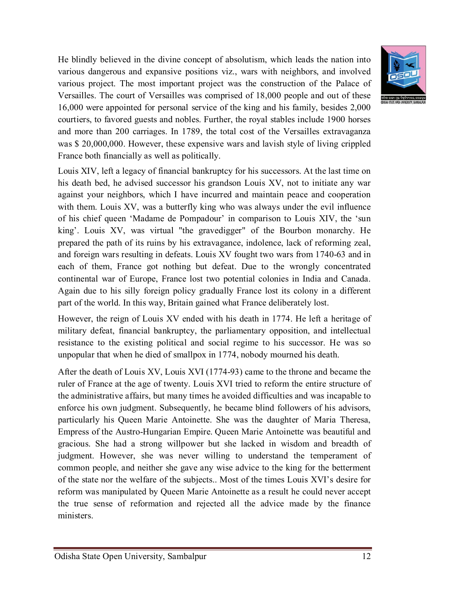He blindly believed in the divine concept of absolutism, which leads the nation into various dangerous and expansive positions viz., wars with neighbors, and involved various project. The most important project was the construction of the Palace of Versailles. The court of Versailles was comprised of 18,000 people and out of these 16,000 were appointed for personal service of the king and his family, besides 2,000 courtiers, to favored guests and nobles. Further, the royal stables include 1900 horses and more than 200 carriages. In 1789, the total cost of the Versailles extravaganza was \$ 20,000,000. However, these expensive wars and lavish style of living crippled France both financially as well as politically.



However, the reign of Louis XV ended with his death in 1774. He left a heritage of military defeat, financial bankruptcy, the parliamentary opposition, and intellectual resistance to the existing political and social regime to his successor. He was so unpopular that when he died of smallpox in 1774, nobody mourned his death.

After the death of Louis XV, Louis XVI (1774-93) came to the throne and became the ruler of France at the age of twenty. Louis XVI tried to reform the entire structure of the administrative affairs, but many times he avoided difficulties and was incapable to enforce his own judgment. Subsequently, he became blind followers of his advisors, particularly his Queen Marie Antoinette. She was the daughter of Maria Theresa, Empress of the Austro-Hungarian Empire. Queen Marie Antoinette was beautiful and gracious. She had a strong willpower but she lacked in wisdom and breadth of judgment. However, she was never willing to understand the temperament of common people, and neither she gave any wise advice to the king for the betterment of the state nor the welfare of the subjects.. Most of the times Louis XVI's desire for reform was manipulated by Queen Marie Antoinette as a result he could never accept the true sense of reformation and rejected all the advice made by the finance ministers.

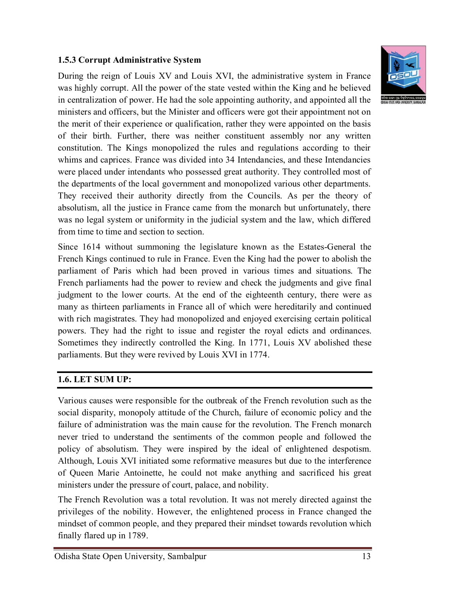#### **1.5.3 Corrupt Administrative System**

During the reign of Louis XV and Louis XVI, the administrative system in France was highly corrupt. All the power of the state vested within the King and he believed in centralization of power. He had the sole appointing authority, and appointed all the ministers and officers, but the Minister and officers were got their appointment not on the merit of their experience or qualification, rather they were appointed on the basis of their birth. Further, there was neither constituent assembly nor any written constitution. The Kings monopolized the rules and regulations according to their whims and caprices. France was divided into 34 Intendancies, and these Intendancies were placed under intendants who possessed great authority. They controlled most of the departments of the local government and monopolized various other departments. They received their authority directly from the Councils. As per the theory of absolutism, all the justice in France came from the monarch but unfortunately, there was no legal system or uniformity in the judicial system and the law, which differed from time to time and section to section.

Since 1614 without summoning the legislature known as the Estates-General the French Kings continued to rule in France. Even the King had the power to abolish the parliament of Paris which had been proved in various times and situations. The French parliaments had the power to review and check the judgments and give final judgment to the lower courts. At the end of the eighteenth century, there were as many as thirteen parliaments in France all of which were hereditarily and continued with rich magistrates. They had monopolized and enjoyed exercising certain political powers. They had the right to issue and register the royal edicts and ordinances. Sometimes they indirectly controlled the King. In 1771, Louis XV abolished these parliaments. But they were revived by Louis XVI in 1774.

### **1.6. LET SUM UP:**

Various causes were responsible for the outbreak of the French revolution such as the social disparity, monopoly attitude of the Church, failure of economic policy and the failure of administration was the main cause for the revolution. The French monarch never tried to understand the sentiments of the common people and followed the policy of absolutism. They were inspired by the ideal of enlightened despotism. Although, Louis XVI initiated some reformative measures but due to the interference of Queen Marie Antoinette, he could not make anything and sacrificed his great ministers under the pressure of court, palace, and nobility.

The French Revolution was a total revolution. It was not merely directed against the privileges of the nobility. However, the enlightened process in France changed the mindset of common people, and they prepared their mindset towards revolution which finally flared up in 1789.

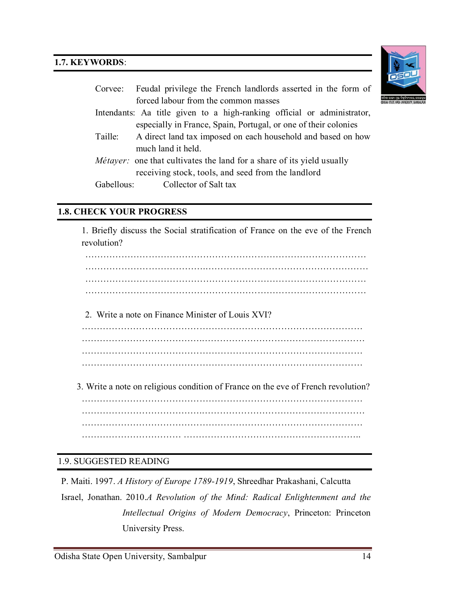#### **1.7. KEYWORDS**:



|         | Corvee: Feudal privilege the French landlords asserted in the form of         |
|---------|-------------------------------------------------------------------------------|
|         | forced labour from the common masses                                          |
|         | Intendants: Aa title given to a high-ranking official or administrator,       |
|         | especially in France, Spain, Portugal, or one of their colonies               |
| Taille: | A direct land tax imposed on each household and based on how                  |
|         | much land it held.                                                            |
|         | <i>Métayer:</i> one that cultivates the land for a share of its yield usually |
|         | receiving stock, tools, and seed from the landlord                            |
|         | Gabellous: Collector of Salt tax                                              |

#### **1.8. CHECK YOUR PROGRESS**

1. Briefly discuss the Social stratification of France on the eve of the French revolution?

………………………………………………………………………………… ………………………………….……………………………………………… ………………………………………………………………………………… …………………………………………………………………………………

2. Write a note on Finance Minister of Louis XVI?

………………………………………………………………………………… ………………………………….……………………………………………… ………………………………………………………………………………… …………………………………………………………………………………

3. Write a note on religious condition of France on the eve of French revolution?

………………………………………………………………………………… ………………………………….……………………………………………… ………………………………………………………………………………… …………………………… …………………………………………………..

#### 1.9. SUGGESTED READING

P. Maiti. 1997. *A History of Europe 1789-1919*, Shreedhar Prakashani, Calcutta Israel, Jonathan. 2010.*A Revolution of the Mind: Radical Enlightenment and the Intellectual Origins of Modern Democracy*, Princeton: Princeton University Press.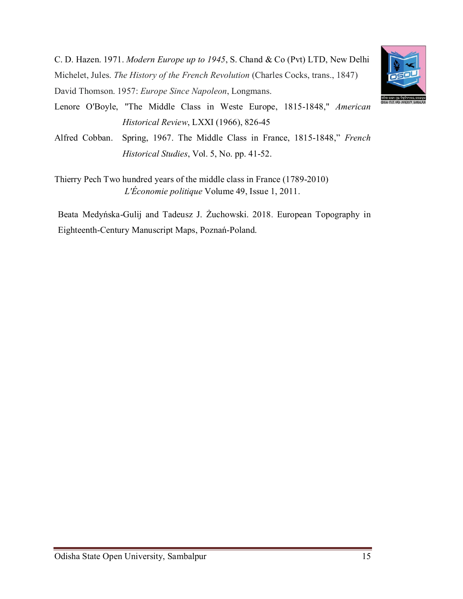C. D. Hazen. 1971. *Modern Europe up to 1945*, S. Chand & Co (Pvt) LTD, New Delhi Michelet, Jules. *The History of the French Revolution* (Charles Cocks, trans., 1847) David Thomson. 1957: *Europe Since Napoleon*, Longmans.



Alfred Cobban. Spring, 1967. The Middle Class in France, 1815-1848," *French Historical Studies*, Vol. 5, No. pp. 41-52.

Thierry Pech Two hundred years of the middle class in France (1789-2010) *L'Économie politique* Volume 49, Issue 1, 2011.

Beata Medyńska-Gulij and Tadeusz J. Żuchowski. 2018. European Topography in Eighteenth-Century Manuscript Maps, Poznań-Poland.

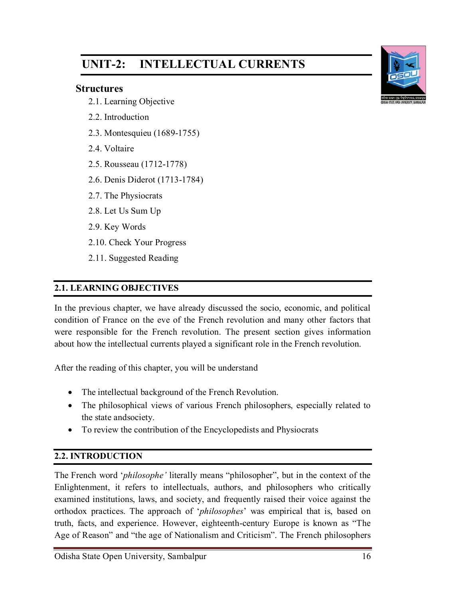# **UNIT-2: INTELLECTUAL CURRENTS**

#### **Structures**

- 2.1. Learning Objective
- 2.2. Introduction
- 2.3. Montesquieu (1689-1755)
- 2.4. Voltaire
- 2.5. Rousseau (1712-1778)
- 2.6. Denis Diderot (1713-1784)
- 2.7. The Physiocrats
- 2.8. Let Us Sum Up
- 2.9. Key Words
- 2.10. Check Your Progress
- 2.11. Suggested Reading

## **2.1. LEARNING OBJECTIVES**

In the previous chapter, we have already discussed the socio, economic, and political condition of France on the eve of the French revolution and many other factors that were responsible for the French revolution. The present section gives information about how the intellectual currents played a significant role in the French revolution.

After the reading of this chapter, you will be understand

- The intellectual background of the French Revolution.
- The philosophical views of various French philosophers, especially related to the state andsociety.
- To review the contribution of the Encyclopedists and Physiocrats

### **2.2. INTRODUCTION**

The French word '*philosophe'* literally means "philosopher", but in the context of the Enlightenment, it refers to intellectuals, authors, and philosophers who critically examined institutions, laws, and society, and frequently raised their voice against the orthodox practices. The approach of '*philosophes*' was empirical that is, based on truth, facts, and experience. However, eighteenth-century Europe is known as "The Age of Reason" and "the age of Nationalism and Criticism". The French philosophers

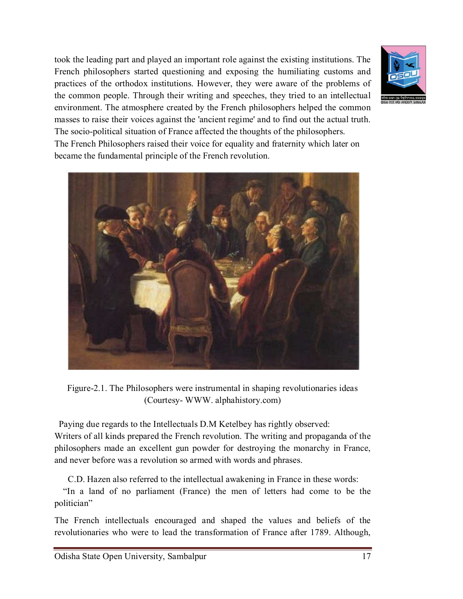took the leading part and played an important role against the existing institutions. The French philosophers started questioning and exposing the humiliating customs and practices of the orthodox institutions. However, they were aware of the problems of the common people. Through their writing and speeches, they tried to an intellectual environment. The atmosphere created by the French philosophers helped the common masses to raise their voices against the 'ancient regime' and to find out the actual truth. The socio-political situation of France affected the thoughts of the philosophers. The French Philosophers raised their voice for equality and fraternity which later on



became the fundamental principle of the French revolution.



Figure-2.1. The Philosophers were instrumental in shaping revolutionaries ideas (Courtesy- WWW. alphahistory.com)

 Paying due regards to the Intellectuals D.M Ketelbey has rightly observed: Writers of all kinds prepared the French revolution. The writing and propaganda of the philosophers made an excellent gun powder for destroying the monarchy in France, and never before was a revolution so armed with words and phrases.

C.D. Hazen also referred to the intellectual awakening in France in these words:

 "In a land of no parliament (France) the men of letters had come to be the politician"

The French intellectuals encouraged and shaped the values and beliefs of the revolutionaries who were to lead the transformation of France after 1789. Although,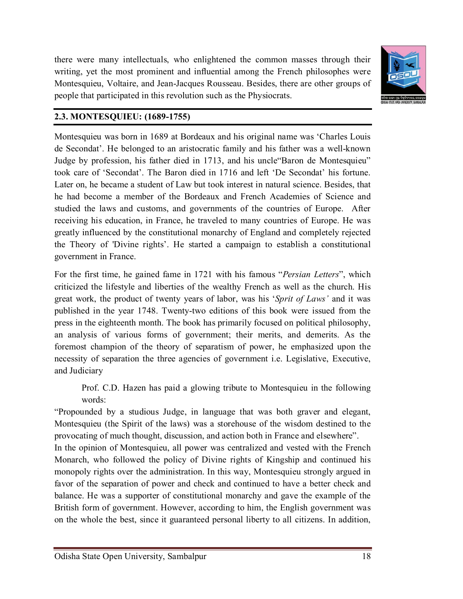there were many intellectuals, who enlightened the common masses through their writing, yet the most prominent and influential among the French philosophes were Montesquieu, Voltaire, and Jean-Jacques Rousseau. Besides, there are other groups of people that participated in this revolution such as the Physiocrats.



#### **2.3. MONTESQUIEU: (1689-1755)**

Montesquieu was born in 1689 at Bordeaux and his original name was 'Charles Louis de Secondat'. He belonged to an aristocratic family and his father was a well-known Judge by profession, his father died in 1713, and his uncle"Baron de Montesquieu" took care of 'Secondat'. The Baron died in 1716 and left 'De Secondat' his fortune. Later on, he became a student of Law but took interest in natural science. Besides, that he had become a member of the Bordeaux and French Academies of Science and studied the laws and customs, and governments of the countries of Europe. After receiving his education, in France, he traveled to many countries of Europe. He was greatly influenced by the constitutional monarchy of England and completely rejected the Theory of 'Divine rights'. He started a campaign to establish a constitutional government in France.

For the first time, he gained fame in 1721 with his famous "*Persian Letters*", which criticized the lifestyle and liberties of the wealthy French as well as the church. His great work, the product of twenty years of labor, was his '*Sprit of Laws'* and it was published in the year 1748. Twenty-two editions of this book were issued from the press in the eighteenth month. The book has primarily focused on political philosophy, an analysis of various forms of government; their merits, and demerits. As the foremost champion of the theory of separatism of power, he emphasized upon the necessity of separation the three agencies of government i.e. Legislative, Executive, and Judiciary

Prof. C.D. Hazen has paid a glowing tribute to Montesquieu in the following words:

"Propounded by a studious Judge, in language that was both graver and elegant, Montesquieu (the Spirit of the laws) was a storehouse of the wisdom destined to the provocating of much thought, discussion, and action both in France and elsewhere".

In the opinion of Montesquieu, all power was centralized and vested with the French Monarch, who followed the policy of Divine rights of Kingship and continued his monopoly rights over the administration. In this way, Montesquieu strongly argued in favor of the separation of power and check and continued to have a better check and balance. He was a supporter of constitutional monarchy and gave the example of the British form of government. However, according to him, the English government was on the whole the best, since it guaranteed personal liberty to all citizens. In addition,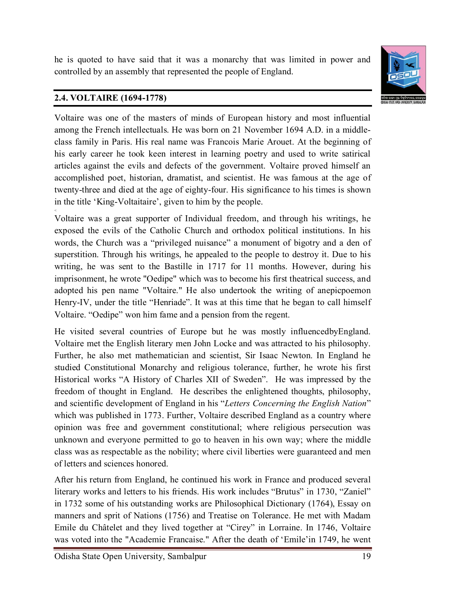he is quoted to have said that it was a monarchy that was limited in power and controlled by an assembly that represented the people of England.



## **2.4. VOLTAIRE (1694-1778)**

Voltaire was one of the masters of minds of European history and most influential among the French intellectuals. He was born on 21 November 1694 A.D. in a middleclass family in Paris. His real name was Francois Marie Arouet. At the beginning of his early career he took keen interest in learning poetry and used to write satirical articles against the evils and defects of the government. Voltaire proved himself an accomplished poet, historian, dramatist, and scientist. He was famous at the age of twenty-three and died at the age of eighty-four. His significance to his times is shown in the title 'King-Voltaitaire', given to him by the people. <

Voltaire was a great supporter of Individual freedom, and through his writings, he exposed the evils of the Catholic Church and orthodox political institutions. In his words, the Church was a "privileged nuisance" a monument of bigotry and a den of superstition. Through his writings, he appealed to the people to destroy it. Due to his writing, he was sent to the Bastille in 1717 for 11 months. However, during his imprisonment, he wrote "Oedipe" which was to become his first theatrical success, and adopted his pen name "Voltaire." He also undertook the writing of anepicpoemon Henry-IV, under the title "Henriade". It was at this time that he began to call himself Voltaire. "Oedipe" won him fame and a pension from the regent.

He visited several countries of Europe but he was mostly influencedbyEngland. Voltaire met the English literary men John Locke and was attracted to his philosophy. Further, he also met mathematician and scientist, Sir Isaac Newton. In England he studied Constitutional Monarchy and religious tolerance, further, he wrote his first Historical works "A History of Charles XII of Sweden". He was impressed by the freedom of thought in England. He describes the enlightened thoughts, philosophy, and scientific development of England in his "*Letters Concerning the English Nation*" which was published in 1773. Further, Voltaire described England as a country where opinion was free and government constitutional; where religious persecution was unknown and everyone permitted to go to heaven in his own way; where the middle class was as respectable as the nobility; where civil liberties were guaranteed and men of letters and sciences honored.

After his return from England, he continued his work in France and produced several literary works and letters to his friends. His work includes "Brutus" in 1730, "Zaniel" in 1732 some of his outstanding works are Philosophical Dictionary (1764), Essay on manners and sprit of Nations (1756) and Treatise on Tolerance. He met with Madam Emile du Châtelet and they lived together at "Cirey" in Lorraine. In 1746, Voltaire was voted into the "Academie Francaise." After the death of 'Emile'in 1749, he went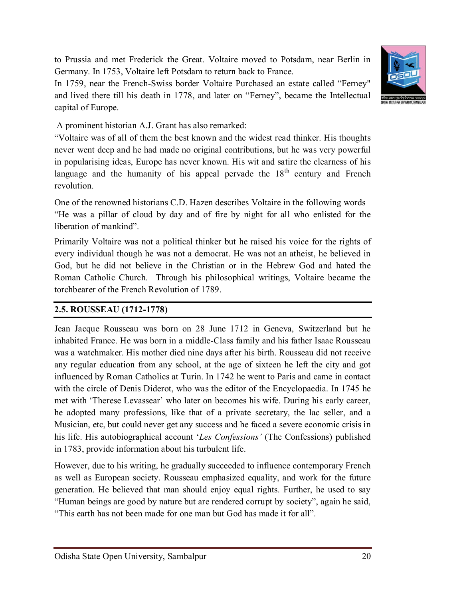to Prussia and met Frederick the Great. Voltaire moved to Potsdam, near Berlin in Germany. In 1753, Voltaire left Potsdam to return back to France.

In 1759, near the French-Swiss border Voltaire Purchased an estate called "Ferney" and lived there till his death in 1778, and later on "Ferney", became the Intellectual capital of Europe.



A prominent historian A.J. Grant has also remarked:

"Voltaire was of all of them the best known and the widest read thinker. His thoughts never went deep and he had made no original contributions, but he was very powerful in popularising ideas, Europe has never known. His wit and satire the clearness of his language and the humanity of his appeal pervade the  $18<sup>th</sup>$  century and French revolution.

One of the renowned historians C.D. Hazen describes Voltaire in the following words "He was a pillar of cloud by day and of fire by night for all who enlisted for the liberation of mankind".

Primarily Voltaire was not a political thinker but he raised his voice for the rights of every individual though he was not a democrat. He was not an atheist, he believed in God, but he did not believe in the Christian or in the Hebrew God and hated the Roman Catholic Church. Through his philosophical writings, Voltaire became the torchbearer of the French Revolution of 1789.

#### **2.5. ROUSSEAU (1712-1778)**

Jean Jacque Rousseau was born on 28 June 1712 in Geneva, Switzerland but he inhabited France. He was born in a middle-Class family and his father Isaac Rousseau was a watchmaker. His mother died nine days after his birth. Rousseau did not receive any regular education from any school, at the age of sixteen he left the city and got influenced by Roman Catholics at Turin. In 1742 he went to Paris and came in contact with the circle of Denis Diderot, who was the editor of the Encyclopaedia. In 1745 he met with 'Therese Levassear' who later on becomes his wife. During his early career, he adopted many professions, like that of a private secretary, the lac seller, and a Musician, etc, but could never get any success and he faced a severe economic crisis in his life. His autobiographical account '*Les Confessions'* (The Confessions) published in 1783, provide information about his turbulent life.

However, due to his writing, he gradually succeeded to influence contemporary French as well as European society. Rousseau emphasized equality, and work for the future generation. He believed that man should enjoy equal rights. Further, he used to say "Human beings are good by nature but are rendered corrupt by society", again he said, "This earth has not been made for one man but God has made it for all".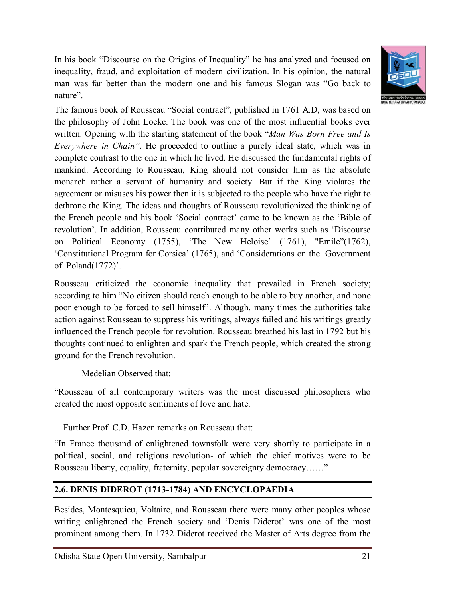In his book "Discourse on the Origins of Inequality" he has analyzed and focused on inequality, fraud, and exploitation of modern civilization. In his opinion, the natural man was far better than the modern one and his famous Slogan was "Go back to nature".



The famous book of Rousseau "Social contract", published in 1761 A.D, was based on the philosophy of John Locke. The book was one of the most influential books ever written. Opening with the starting statement of the book "*Man Was Born Free and Is Everywhere in Chain"*. He proceeded to outline a purely ideal state, which was in complete contrast to the one in which he lived. He discussed the fundamental rights of mankind. According to Rousseau, King should not consider him as the absolute monarch rather a servant of humanity and society. But if the King violates the agreement or misuses his power then it is subjected to the people who have the right to dethrone the King. The ideas and thoughts of Rousseau revolutionized the thinking of the French people and his book 'Social contract' came to be known as the 'Bible of revolution'. In addition, Rousseau contributed many other works such as 'Discourse on Political Economy (1755), 'The New Heloise' (1761), "Emile"(1762), 'Constitutional Program for Corsica' (1765), and 'Considerations on the Government of Poland(1772)'.

Rousseau criticized the economic inequality that prevailed in French society; according to him "No citizen should reach enough to be able to buy another, and none poor enough to be forced to sell himself". Although, many times the authorities take action against Rousseau to suppress his writings, always failed and his writings greatly influenced the French people for revolution. Rousseau breathed his last in 1792 but his thoughts continued to enlighten and spark the French people, which created the strong ground for the French revolution.

Medelian Observed that:

"Rousseau of all contemporary writers was the most discussed philosophers who created the most opposite sentiments of love and hate.

Further Prof. C.D. Hazen remarks on Rousseau that:

"In France thousand of enlightened townsfolk were very shortly to participate in a political, social, and religious revolution- of which the chief motives were to be Rousseau liberty, equality, fraternity, popular sovereignty democracy……"

# **2.6. DENIS DIDEROT (1713-1784) AND ENCYCLOPAEDIA**

Besides, Montesquieu, Voltaire, and Rousseau there were many other peoples whose writing enlightened the French society and 'Denis Diderot' was one of the most prominent among them. In 1732 Diderot received the Master of Arts degree from the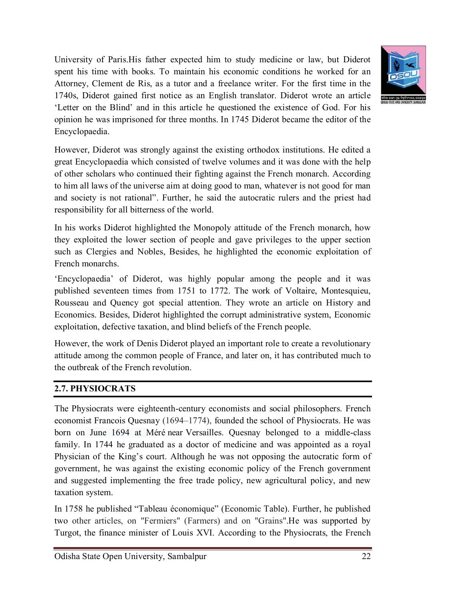University of Paris.His father expected him to study medicine or law, but Diderot spent his time with books. To maintain his economic conditions he worked for an Attorney, Clement de Ris, as a tutor and a freelance writer. For the first time in the 1740s, Diderot gained first notice as an English translator. Diderot wrote an article 'Letter on the Blind' and in this article he questioned the existence of God. For his opinion he was imprisoned for three months. In 1745 Diderot became the editor of the Encyclopaedia.



However, Diderot was strongly against the existing orthodox institutions. He edited a great Encyclopaedia which consisted of twelve volumes and it was done with the help of other scholars who continued their fighting against the French monarch. According to him all laws of the universe aim at doing good to man, whatever is not good for man and society is not rational". Further, he said the autocratic rulers and the priest had responsibility for all bitterness of the world.

In his works Diderot highlighted the Monopoly attitude of the French monarch, how they exploited the lower section of people and gave privileges to the upper section such as Clergies and Nobles, Besides, he highlighted the economic exploitation of French monarchs.

'Encyclopaedia' of Diderot, was highly popular among the people and it was published seventeen times from 1751 to 1772. The work of Voltaire, Montesquieu, Rousseau and Quency got special attention. They wrote an article on History and Economics. Besides, Diderot highlighted the corrupt administrative system, Economic exploitation, defective taxation, and blind beliefs of the French people.

However, the work of Denis Diderot played an important role to create a revolutionary attitude among the common people of France, and later on, it has contributed much to the outbreak of the French revolution.

### **2.7. PHYSIOCRATS**

The Physiocrats were eighteenth-century economists and social philosophers. French economist Francois Quesnay (1694–1774), founded the school of Physiocrats. He was born on June 1694 at Méré near Versailles. Quesnay belonged to a middle-class family. In 1744 he graduated as a doctor of medicine and was appointed as a royal Physician of the King's court. Although he was not opposing the autocratic form of government, he was against the existing economic policy of the French government and suggested implementing the free trade policy, new agricultural policy, and new taxation system.

In 1758 he published "Tableau économique" (Economic Table). Further, he published two other articles, on "Fermiers" (Farmers) and on "Grains".He was supported by Turgot, the finance minister of Louis XVI. According to the Physiocrats, the French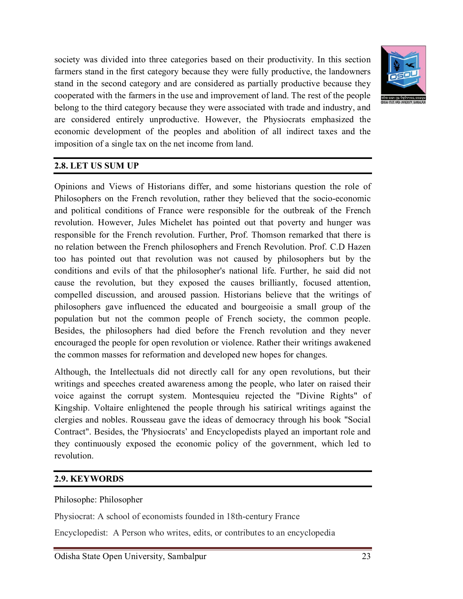

society was divided into three categories based on their productivity. In this section farmers stand in the first category because they were fully productive, the landowners stand in the second category and are considered as partially productive because they cooperated with the farmers in the use and improvement of land. The rest of the people belong to the third category because they were associated with trade and industry, and are considered entirely unproductive. However, the Physiocrats emphasized the economic development of the peoples and abolition of all indirect taxes and the imposition of a single tax on the net income from land.

### **2.8. LET US SUM UP**

Opinions and Views of Historians differ, and some historians question the role of Philosophers on the French revolution, rather they believed that the socio-economic and political conditions of France were responsible for the outbreak of the French revolution. However, Jules Michelet has pointed out that poverty and hunger was responsible for the French revolution. Further, Prof. Thomson remarked that there is no relation between the French philosophers and French Revolution. Prof. C.D Hazen too has pointed out that revolution was not caused by philosophers but by the conditions and evils of that the philosopher's national life. Further, he said did not cause the revolution, but they exposed the causes brilliantly, focused attention, compelled discussion, and aroused passion. Historians believe that the writings of philosophers gave influenced the educated and bourgeoisie a small group of the population but not the common people of French society, the common people. Besides, the philosophers had died before the French revolution and they never encouraged the people for open revolution or violence. Rather their writings awakened the common masses for reformation and developed new hopes for changes.

Although, the Intellectuals did not directly call for any open revolutions, but their writings and speeches created awareness among the people, who later on raised their voice against the corrupt system. Montesquieu rejected the "Divine Rights" of Kingship. Voltaire enlightened the people through his satirical writings against the clergies and nobles. Rousseau gave the ideas of democracy through his book "Social Contract". Besides, the 'Physiocrats' and Encyclopedists played an important role and they continuously exposed the economic policy of the government, which led to revolution.

#### **2.9. KEYWORDS**

#### Philosophe: Philosopher

Physiocrat: A school of economists founded in 18th-century France

Encyclopedist: A Person who writes, edits, or contributes to an encyclopedia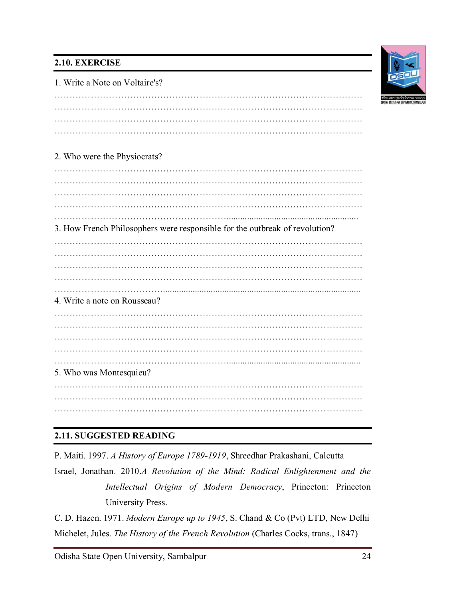## **2.10. EXERCISE**



1. Write a Note on Voltaire's?

………………………………………………………………………………………… ………………………………………………………………………………………… ………………………………………………………………………………………… …………………………………………………………………………………………

### 2. Who were the Physiocrats?

………………………………………………………………………………………… ………………………………………………………………………………………… ………………………………………………………………………………………… ………………………………………………………………………………………… ………………………………………………….......................................................... 3. How French Philosophers were responsible for the outbreak of revolution? ………………………………………………………………………………………… ………………………………………………………………………………………… ………………………………………………………………………………………… ………………………………………………………………………………………… ………………………………....................................................................................... 4. Write a note on Rousseau? ………………………………………………………………………………………… ………………………………………………………………………………………… ………………………………………………………………………………………… ………………………………………………………………………………………… …………………………………………………........................................................... 5. Who was Montesquieu? ………………………………………………………………………………………… ………………………………………………………………………………………… …………………………………………………………………………………………

### **2.11. SUGGESTED READING**

P. Maiti. 1997. *A History of Europe 1789-1919*, Shreedhar Prakashani, Calcutta

Israel, Jonathan. 2010.*A Revolution of the Mind: Radical Enlightenment and the Intellectual Origins of Modern Democracy*, Princeton: Princeton University Press.

C. D. Hazen. 1971. *Modern Europe up to 1945*, S. Chand & Co (Pvt) LTD, New Delhi Michelet, Jules. *The History of the French Revolution* (Charles Cocks, trans., 1847)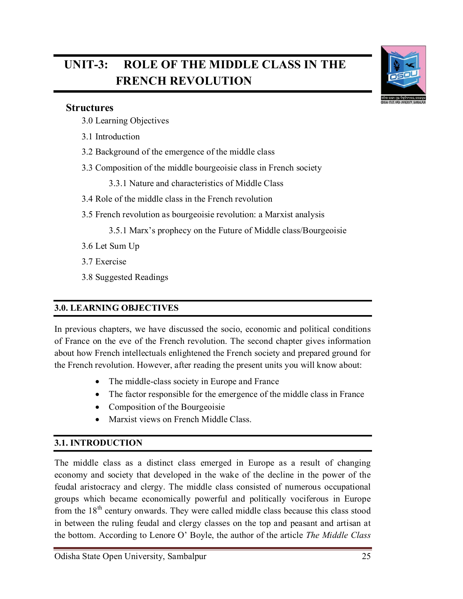# **UNIT-3: ROLE OF THE MIDDLE CLASS IN THE FRENCH REVOLUTION**



#### **Structures**

٦

- 3.0 Learning Objectives
- 3.1 Introduction
- 3.2 Background of the emergence of the middle class
- 3.3 Composition of the middle bourgeoisie class in French society
	- 3.3.1 Nature and characteristics of Middle Class
- 3.4 Role of the middle class in the French revolution
- 3.5 French revolution as bourgeoisie revolution: a Marxist analysis

3.5.1 Marx's prophecy on the Future of Middle class/Bourgeoisie

- 3.6 Let Sum Up
- 3.7 Exercise
- 3.8 Suggested Readings

### **3.0. LEARNING OBJECTIVES**

In previous chapters, we have discussed the socio, economic and political conditions of France on the eve of the French revolution. The second chapter gives information about how French intellectuals enlightened the French society and prepared ground for the French revolution. However, after reading the present units you will know about:

- The middle-class society in Europe and France
- The factor responsible for the emergence of the middle class in France
- Composition of the Bourgeoisie
- Marxist views on French Middle Class.

### **3.1. INTRODUCTION**

The middle class as a distinct class emerged in Europe as a result of changing economy and society that developed in the wake of the decline in the power of the feudal aristocracy and clergy. The middle class consisted of numerous occupational groups which became economically powerful and politically vociferous in Europe from the  $18<sup>th</sup>$  century onwards. They were called middle class because this class stood in between the ruling feudal and clergy classes on the top and peasant and artisan at the bottom. According to Lenore O' Boyle, the author of the article *The Middle Class*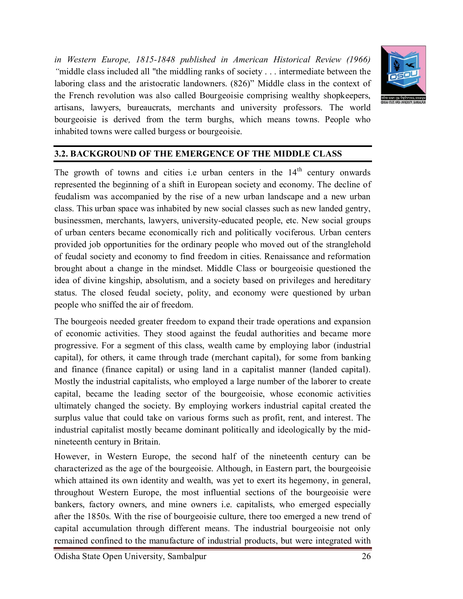*in Western Europe, 1815-1848 published in American Historical Review (1966) "*middle class included all "the middling ranks of society . . . intermediate between the laboring class and the aristocratic landowners. (826)" Middle class in the context of the French revolution was also called Bourgeoisie comprising wealthy shopkeepers, artisans, lawyers, bureaucrats, merchants and university professors. The world bourgeoisie is derived from the term burghs, which means towns. People who inhabited towns were called burgess or bourgeoisie.



#### **3.2. BACKGROUND OF THE EMERGENCE OF THE MIDDLE CLASS**

The growth of towns and cities i.e urban centers in the  $14<sup>th</sup>$  century onwards represented the beginning of a shift in European society and economy. The decline of feudalism was accompanied by the rise of a new urban landscape and a new urban class. This urban space was inhabited by new social classes such as new landed gentry, businessmen, merchants, lawyers, university-educated people, etc. New social groups of urban centers became economically rich and politically vociferous. Urban centers provided job opportunities for the ordinary people who moved out of the stranglehold of feudal society and economy to find freedom in cities. Renaissance and reformation brought about a change in the mindset. Middle Class or bourgeoisie questioned the idea of divine kingship, absolutism, and a society based on privileges and hereditary status. The closed feudal society, polity, and economy were questioned by urban people who sniffed the air of freedom.

The bourgeois needed greater freedom to expand their trade operations and expansion of economic activities. They stood against the feudal authorities and became more progressive. For a segment of this class, wealth came by employing labor (industrial capital), for others, it came through trade (merchant capital), for some from banking and finance (finance capital) or using land in a capitalist manner (landed capital). Mostly the industrial capitalists, who employed a large number of the laborer to create capital, became the leading sector of the bourgeoisie, whose economic activities ultimately changed the society. By employing workers industrial capital created the surplus value that could take on various forms such as profit, rent, and interest. The industrial capitalist mostly became dominant politically and ideologically by the midnineteenth century in Britain.

However, in Western Europe, the second half of the nineteenth century can be characterized as the age of the bourgeoisie. Although, in Eastern part, the bourgeoisie which attained its own identity and wealth, was yet to exert its hegemony, in general, throughout Western Europe, the most influential sections of the bourgeoisie were bankers, factory owners, and mine owners i.e. capitalists, who emerged especially after the 1850s. With the rise of bourgeoisie culture, there too emerged a new trend of capital accumulation through different means. The industrial bourgeoisie not only remained confined to the manufacture of industrial products, but were integrated with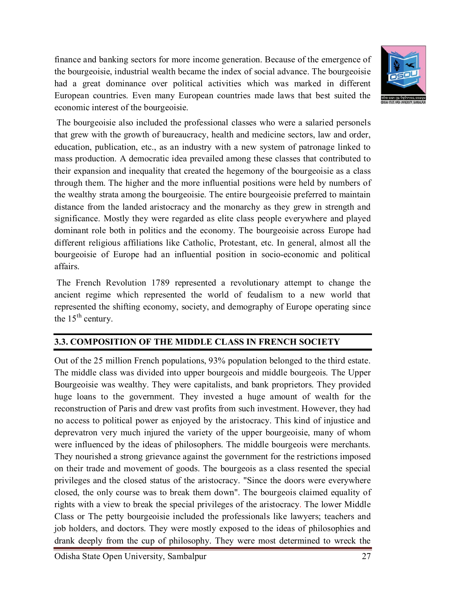finance and banking sectors for more income generation. Because of the emergence of the bourgeoisie, industrial wealth became the index of social advance. The bourgeoisie had a great dominance over political activities which was marked in different European countries. Even many European countries made laws that best suited the economic interest of the bourgeoisie.



The bourgeoisie also included the professional classes who were a salaried personels that grew with the growth of bureaucracy, health and medicine sectors, law and order, education, publication, etc., as an industry with a new system of patronage linked to mass production. A democratic idea prevailed among these classes that contributed to their expansion and inequality that created the hegemony of the bourgeoisie as a class through them. The higher and the more influential positions were held by numbers of the wealthy strata among the bourgeoisie. The entire bourgeoisie preferred to maintain distance from the landed aristocracy and the monarchy as they grew in strength and significance. Mostly they were regarded as elite class people everywhere and played dominant role both in politics and the economy. The bourgeoisie across Europe had different religious affiliations like Catholic, Protestant, etc. In general, almost all the bourgeoisie of Europe had an influential position in socio-economic and political affairs.

The French Revolution 1789 represented a revolutionary attempt to change the ancient regime which represented the world of feudalism to a new world that represented the shifting economy, society, and demography of Europe operating since the  $15<sup>th</sup>$  century.

### **3.3. COMPOSITION OF THE MIDDLE CLASS IN FRENCH SOCIETY**

Out of the 25 million French populations, 93% population belonged to the third estate. The middle class was divided into upper bourgeois and middle bourgeois. The Upper Bourgeoisie was wealthy. They were capitalists, and bank proprietors. They provided huge loans to the government. They invested a huge amount of wealth for the reconstruction of Paris and drew vast profits from such investment. However, they had no access to political power as enjoyed by the aristocracy. This kind of injustice and deprevatron very much injured the variety of the upper bourgeoisie, many of whom were influenced by the ideas of philosophers. The middle bourgeois were merchants. They nourished a strong grievance against the government for the restrictions imposed on their trade and movement of goods. The bourgeois as a class resented the special privileges and the closed status of the aristocracy. "Since the doors were everywhere closed, the only course was to break them down". The bourgeois claimed equality of rights with a view to break the special privileges of the aristocracy. The lower Middle Class or The petty bourgeoisie included the professionals like lawyers; teachers and job holders, and doctors. They were mostly exposed to the ideas of philosophies and drank deeply from the cup of philosophy. They were most determined to wreck the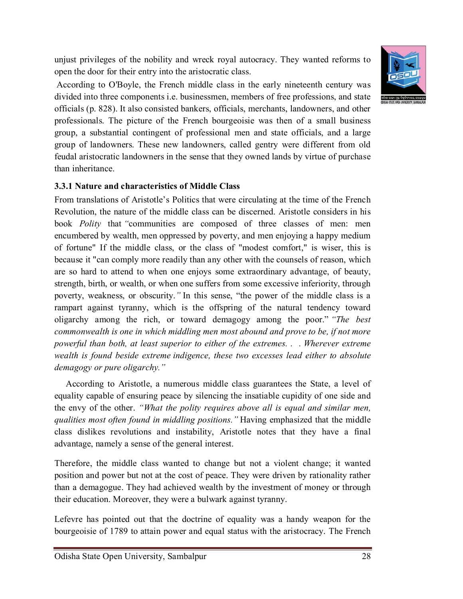unjust privileges of the nobility and wreck royal autocracy. They wanted reforms to open the door for their entry into the aristocratic class.



#### **3.3.1 Nature and characteristics of Middle Class**

From translations of Aristotle's Politics that were circulating at the time of the French Revolution, the nature of the middle class can be discerned. Aristotle considers in his book *Polity* that *"*communities are composed of three classes of men: men encumbered by wealth, men oppressed by poverty, and men enjoying a happy medium of fortune" If the middle class, or the class of "modest comfort," is wiser, this is because it "can comply more readily than any other with the counsels of reason, which are so hard to attend to when one enjoys some extraordinary advantage, of beauty, strength, birth, or wealth, or when one suffers from some excessive inferiority, through poverty, weakness, or obscurity.*"* In this sense, "the power of the middle class is a rampart against tyranny, which is the offspring of the natural tendency toward oligarchy among the rich, or toward demagogy among the poor." *"The best commonwealth is one in which middling men most abound and prove to be, if not more powerful than both, at least superior to either of the extremes. . . Wherever extreme wealth is found beside extreme indigence, these two excesses lead either to absolute demagogy or pure oligarchy."*

 According to Aristotle, a numerous middle class guarantees the State, a level of equality capable of ensuring peace by silencing the insatiable cupidity of one side and the envy of the other. *"What the polity requires above all is equal and similar men, qualities most often found in middling positions."* Having emphasized that the middle class dislikes revolutions and instability, Aristotle notes that they have a final advantage, namely a sense of the general interest.

Therefore, the middle class wanted to change but not a violent change; it wanted position and power but not at the cost of peace. They were driven by rationality rather than a demagogue. They had achieved wealth by the investment of money or through their education. Moreover, they were a bulwark against tyranny.

Lefevre has pointed out that the doctrine of equality was a handy weapon for the bourgeoisie of 1789 to attain power and equal status with the aristocracy. The French

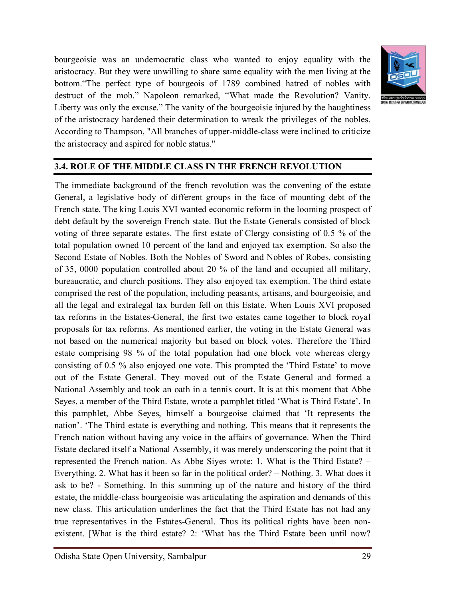bourgeoisie was an undemocratic class who wanted to enjoy equality with the aristocracy. But they were unwilling to share same equality with the men living at the bottom."The perfect type of bourgeois of 1789 combined hatred of nobles with destruct of the mob." Napoleon remarked, "What made the Revolution? Vanity. Liberty was only the excuse." The vanity of the bourgeoisie injured by the haughtiness of the aristocracy hardened their determination to wreak the privileges of the nobles. According to Thampson, "All branches of upper-middle-class were inclined to criticize the aristocracy and aspired for noble status."



### **3.4. ROLE OF THE MIDDLE CLASS IN THE FRENCH REVOLUTION**

The immediate background of the french revolution was the convening of the estate General, a legislative body of different groups in the face of mounting debt of the French state. The king Louis XVI wanted economic reform in the looming prospect of debt default by the sovereign French state. But the Estate Generals consisted of block voting of three separate estates. The first estate of Clergy consisting of 0.5 % of the total population owned 10 percent of the land and enjoyed tax exemption. So also the Second Estate of Nobles. Both the Nobles of Sword and Nobles of Robes, consisting of 35, 0000 population controlled about 20 % of the land and occupied all military, bureaucratic, and church positions. They also enjoyed tax exemption. The third estate comprised the rest of the population, including peasants, artisans, and bourgeoisie, and all the legal and extralegal tax burden fell on this Estate. When Louis XVI proposed tax reforms in the Estates-General, the first two estates came together to block royal proposals for tax reforms. As mentioned earlier, the voting in the Estate General was not based on the numerical majority but based on block votes. Therefore the Third estate comprising 98 % of the total population had one block vote whereas clergy consisting of 0.5 % also enjoyed one vote. This prompted the 'Third Estate' to move out of the Estate General. They moved out of the Estate General and formed a National Assembly and took an oath in a tennis court. It is at this moment that Abbe Seyes, a member of the Third Estate, wrote a pamphlet titled 'What is Third Estate'. In this pamphlet, Abbe Seyes, himself a bourgeoise claimed that 'It represents the nation'. 'The Third estate is everything and nothing. This means that it represents the French nation without having any voice in the affairs of governance. When the Third Estate declared itself a National Assembly, it was merely underscoring the point that it represented the French nation. As Abbe Siyes wrote: 1. What is the Third Estate? – Everything. 2. What has it been so far in the political order? – Nothing. 3. What does it ask to be? - Something. In this summing up of the nature and history of the third estate, the middle-class bourgeoisie was articulating the aspiration and demands of this new class. This articulation underlines the fact that the Third Estate has not had any true representatives in the Estates-General. Thus its political rights have been nonexistent. [What is the third estate? 2: 'What has the Third Estate been until now?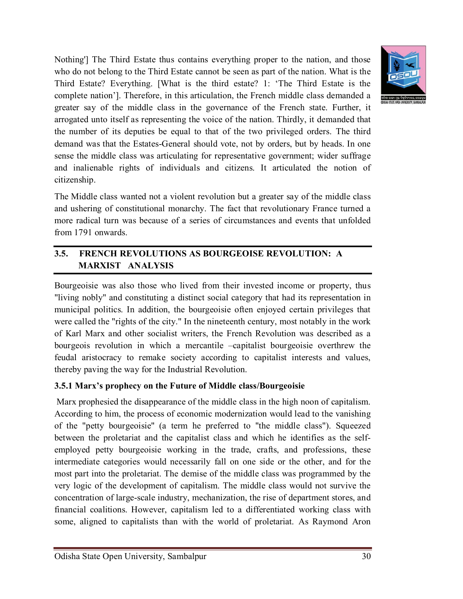

Nothing'] The Third Estate thus contains everything proper to the nation, and those who do not belong to the Third Estate cannot be seen as part of the nation. What is the Third Estate? Everything. [What is the third estate? 1: 'The Third Estate is the complete nation']. Therefore, in this articulation, the French middle class demanded a greater say of the middle class in the governance of the French state. Further, it arrogated unto itself as representing the voice of the nation. Thirdly, it demanded that the number of its deputies be equal to that of the two privileged orders. The third demand was that the Estates-General should vote, not by orders, but by heads. In one sense the middle class was articulating for representative government; wider suffrage and inalienable rights of individuals and citizens. It articulated the notion of citizenship.

The Middle class wanted not a violent revolution but a greater say of the middle class and ushering of constitutional monarchy. The fact that revolutionary France turned a more radical turn was because of a series of circumstances and events that unfolded from 1791 onwards.

# **3.5. FRENCH REVOLUTIONS AS BOURGEOISE REVOLUTION: A MARXIST ANALYSIS**

Bourgeoisie was also those who lived from their invested income or property, thus "living nobly" and constituting a distinct social category that had its representation in municipal politics. In addition, the bourgeoisie often enjoyed certain privileges that were called the "rights of the city." In the nineteenth century, most notably in the work of Karl Marx and other socialist writers, the French Revolution was described as a bourgeois revolution in which a mercantile –capitalist bourgeoisie overthrew the feudal aristocracy to remake society according to capitalist interests and values, thereby paving the way for the Industrial Revolution.

### **3.5.1 Marx's prophecy on the Future of Middle class/Bourgeoisie**

Marx prophesied the disappearance of the middle class in the high noon of capitalism. According to him, the process of economic modernization would lead to the vanishing of the "petty bourgeoisie" (a term he preferred to "the middle class"). Squeezed between the proletariat and the capitalist class and which he identifies as the selfemployed petty bourgeoisie working in the trade, crafts, and professions, these intermediate categories would necessarily fall on one side or the other, and for the most part into the proletariat. The demise of the middle class was programmed by the very logic of the development of capitalism. The middle class would not survive the concentration of large-scale industry, mechanization, the rise of department stores, and financial coalitions. However, capitalism led to a differentiated working class with some, aligned to capitalists than with the world of proletariat. As Raymond Aron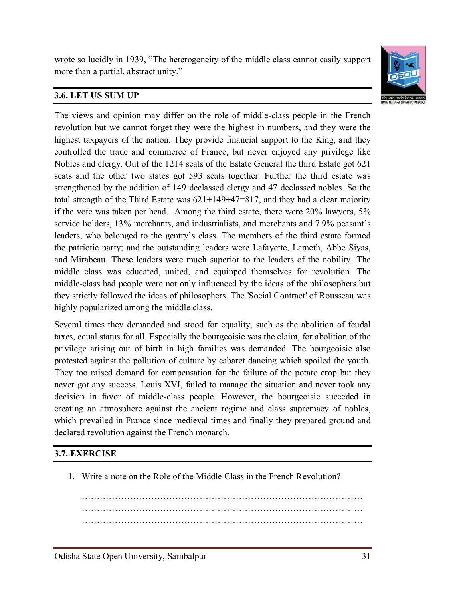wrote so lucidly in 1939, "The heterogeneity of the middle class cannot easily support more than a partial, abstract unity."



## **3.6. LET US SUM UP**

The views and opinion may differ on the role of middle-class people in the French revolution but we cannot forget they were the highest in numbers, and they were the highest taxpayers of the nation. They provide financial support to the King, and they controlled the trade and commerce of France, but never enjoyed any privilege like Nobles and clergy. Out of the 1214 seats of the Estate General the third Estate got 621 seats and the other two states got 593 seats together. Further the third estate was strengthened by the addition of 149 declassed clergy and 47 declassed nobles. So the total strength of the Third Estate was  $621+149+47=817$ , and they had a clear majority if the vote was taken per head. Among the third estate, there were 20% lawyers, 5% service holders, 13% merchants, and industrialists, and merchants and 7.9% peasant's leaders, who belonged to the gentry's class. The members of the third estate formed the patriotic party; and the outstanding leaders were Lafayette, Lameth, Abbe Siyas, and Mirabeau. These leaders were much superior to the leaders of the nobility. The middle class was educated, united, and equipped themselves for revolution. The middle-class had people were not only influenced by the ideas of the philosophers but they strictly followed the ideas of philosophers. The 'Social Contract' of Rousseau was highly popularized among the middle class.

Several times they demanded and stood for equality, such as the abolition of feudal taxes, equal status for all. Especially the bourgeoisie was the claim, for abolition of the privilege arising out of birth in high families was demanded. The bourgeoisie also protested against the pollution of culture by cabaret dancing which spoiled the youth. They too raised demand for compensation for the failure of the potato crop but they never got any success. Louis XVI, failed to manage the situation and never took any decision in favor of middle-class people. However, the bourgeoisie succeded in creating an atmosphere against the ancient regime and class supremacy of nobles, which prevailed in France since medieval times and finally they prepared ground and declared revolution against the French monarch.

#### **3.7. EXERCISE**

1. Write a note on the Role of the Middle Class in the French Revolution?

………………………………………………………………………………… ………………………………………………………………………………… …………………………………………………………………………………